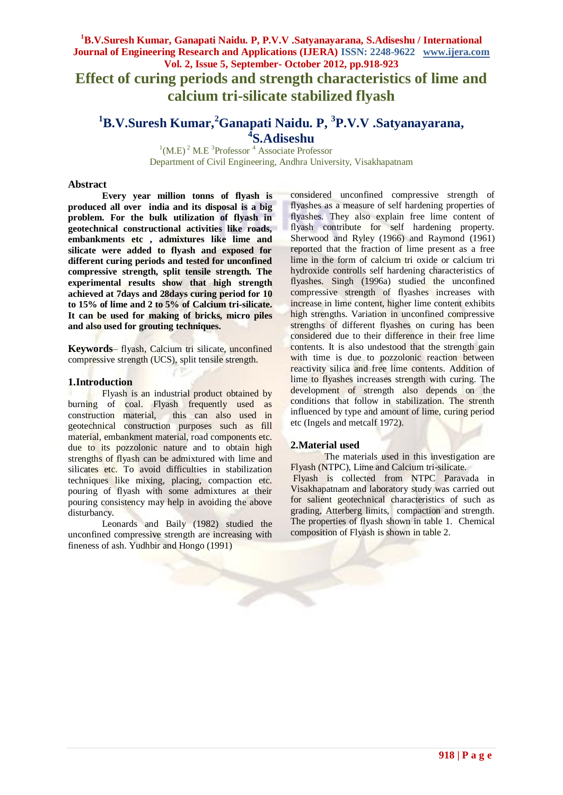**Effect of curing periods and strength characteristics of lime and calcium tri-silicate stabilized flyash**

#### **<sup>1</sup>B.V.Suresh Kumar,<sup>2</sup>Ganapati Naidu. P, 3 P.V.V .Satyanayarana, 4 S.Adiseshu**

 $^{1}$ (M.E)<sup>2</sup> M.E<sup>3</sup>Professor<sup>4</sup> Associate Professor Department of Civil Engineering, Andhra University, Visakhapatnam

#### **Abstract**

**Every year million tonns of flyash is produced all over india and its disposal is a big problem. For the bulk utilization of flyash in geotechnical constructional activities like roads, embankments etc , admixtures like lime and silicate were added to flyash and exposed for different curing periods and tested for unconfined compressive strength, split tensile strength. The experimental results show that high strength achieved at 7days and 28days curing period for 10 to 15% of lime and 2 to 5% of Calcium tri-silicate. It can be used for making of bricks, micro piles and also used for grouting techniques.**

**Keywords**– flyash, Calcium tri silicate, unconfined compressive strength (UCS), split tensile strength.

#### **1.Introduction**

Flyash is an industrial product obtained by burning of coal. Flyash frequently used as construction material, this can also used in geotechnical construction purposes such as fill material, embankment material, road components etc. due to its pozzolonic nature and to obtain high strengths of flyash can be admixtured with lime and silicates etc. To avoid difficulties in stabilization techniques like mixing, placing, compaction etc. pouring of flyash with some admixtures at their pouring consistency may help in avoiding the above disturbancy.

Leonards and Baily (1982) studied the unconfined compressive strength are increasing with fineness of ash. Yudhbir and Hongo (1991)

considered unconfined compressive strength of flyashes as a measure of self hardening properties of flyashes. They also explain free lime content of flyash contribute for self hardening property. Sherwood and Ryley (1966) and Raymond (1961) reported that the fraction of lime present as a free lime in the form of calcium tri oxide or calcium tri hydroxide controlls self hardening characteristics of flyashes. Singh (1996a) studied the unconfined compressive strength of flyashes increases with increase in lime content, higher lime content exhibits high strengths. Variation in unconfined compressive strengths of different flyashes on curing has been considered due to their difference in their free lime contents. It is also undestood that the strength gain with time is due to pozzolonic reaction between reactivity silica and free lime contents. Addition of lime to flyashes increases strength with curing. The development of strength also depends on the conditions that follow in stabilization. The strenth influenced by type and amount of lime, curing period etc (Ingels and metcalf 1972).

#### **2.Material used**

The materials used in this investigation are Flyash (NTPC), Lime and Calcium tri-silicate.

Flyash is collected from NTPC Paravada in Visakhapatnam and laboratory study was carried out for salient geotechnical characteristics of such as grading, Atterberg limits, compaction and strength. The properties of flyash shown in table 1. Chemical composition of Flyash is shown in table 2.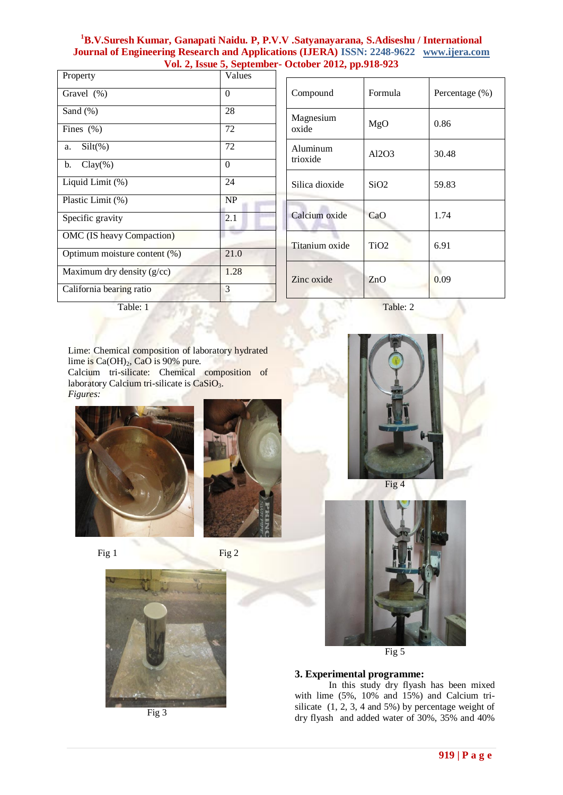| Property                     | Values   |
|------------------------------|----------|
| Gravel (%)                   | 0        |
| Sand (%)                     | 28       |
| Fines $(\%)$                 | 72       |
| $Silt(\%)$<br>a.             | 72       |
| $Clay(\%)$<br>b.             | $\theta$ |
| Liquid Limit (%)             | 24       |
| Plastic Limit (%)            | NP       |
| Specific gravity             | 2.1      |
| OMC (IS heavy Compaction)    |          |
| Optimum moisture content (%) | 21.0     |
| Maximum dry density (g/cc)   | 1.28     |
| California bearing ratio     | 3        |

| Compound             | Formula          | Percentage (%) |
|----------------------|------------------|----------------|
| Magnesium<br>oxide   | MgO              | 0.86           |
| Aluminum<br>trioxide | Al2O3            | 30.48          |
| Silica dioxide       | SiO2             | 59.83          |
| Calcium oxide        | CaO              | 1.74           |
| Titanium oxide       | TiO <sub>2</sub> | 6.91           |
| Zinc oxide           | ZnO              | 0.09           |

Table: 1 Table: 2

Lime: Chemical composition of laboratory hydrated lime is  $Ca(OH)_2$ , CaO is 90% pure. Calcium tri-silicate: Chemical composition of laboratory Calcium tri-silicate is [CaSiO](http://en.wikipedia.org/wiki/Wollastonite)<sub>3</sub>. *Figures:*









Fig 3



Fig 4



Fig 5

# **3. Experimental programme:**

In this study dry flyash has been mixed with lime (5%, 10% and 15%) and Calcium trisilicate (1, 2, 3, 4 and 5%) by percentage weight of dry flyash and added water of 30%, 35% and 40%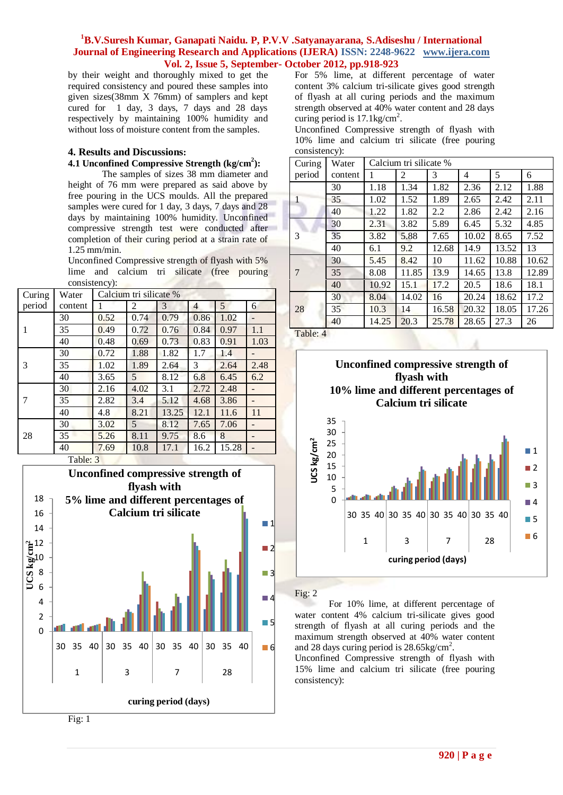by their weight and thoroughly mixed to get the required consistency and poured these samples into given sizes(38mm X 76mm) of samplers and kept cured for 1 day, 3 days, 7 days and 28 days respectively by maintaining 100% humidity and without loss of moisture content from the samples.

# **4. Results and Discussions:**

### **4.1 Unconfined Compressive Strength (kg/cm<sup>2</sup> ):**

The samples of sizes 38 mm diameter and height of 76 mm were prepared as said above by free pouring in the UCS moulds. All the prepared samples were cured for 1 day, 3 days, 7 days and 28 days by maintaining 100% humidity. Unconfined compressive strength test were conducted after completion of their curing period at a strain rate of 1.25 mm/min.

Unconfined Compressive strength of flyash with 5% lime and calcium tri silicate (free pouring consistency):

| Curing | Water   |      | Calcium tri silicate % |       |                |       |      |
|--------|---------|------|------------------------|-------|----------------|-------|------|
| period | content |      | 2                      | 3     | $\overline{4}$ | 5     | 6    |
|        | 30      | 0.52 | 0.74                   | 0.79  | 0.86           | 1.02  |      |
| 1      | 35      | 0.49 | 0.72                   | 0.76  | 0.84           | 0.97  | 1.1  |
|        | 40      | 0.48 | 0.69                   | 0.73  | 0.83           | 0.91  | 1.03 |
|        | 30      | 0.72 | 1.88                   | 1.82  | 1.7            | 1.4   |      |
| 3      | 35      | 1.02 | 1.89                   | 2.64  | 3              | 2.64  | 2.48 |
|        | 40      | 3.65 | 5                      | 8.12  | 6.8            | 6.45  | 6.2  |
|        | 30      | 2.16 | 4.02                   | 3.1   | 2.72           | 2.48  |      |
| 7      | 35      | 2.82 | 3.4                    | 5.12  | 4.68           | 3.86  |      |
|        | 40      | 4.8  | 8.21                   | 13.25 | 12.1           | 11.6  | 11   |
| 28     | 30      | 3.02 | 5                      | 8.12  | 7.65           | 7.06  |      |
|        | 35      | 5.26 | 8.11                   | 9.75  | 8.6            | 8     |      |
|        | 40      | 7.69 | 10.8                   | 17.1  | 16.2           | 15.28 |      |

Table: 3



For 5% lime, at different percentage of water content 3% calcium tri-silicate gives good strength of flyash at all curing periods and the maximum strength observed at 40% water content and 28 days curing period is  $17.1 \text{kg/cm}^2$ .

Unconfined Compressive strength of flyash with 10% lime and calcium tri silicate (free pouring consistency):

| Curing | Water   | Calcium tri silicate % |       |               |       |       |       |
|--------|---------|------------------------|-------|---------------|-------|-------|-------|
| period | content | 1                      | 2     | 3             | 4     | 5     | 6     |
|        | 30      | 1.18                   | 1.34  | 1.82          | 2.36  | 2.12  | 1.88  |
| 1      | 35      | 1.02                   | 1.52  | 1.89          | 2.65  | 2.42  | 2.11  |
|        | 40      | 1.22                   | 1.82  | $2.2^{\circ}$ | 2.86  | 2.42  | 2.16  |
|        | 30      | 2.31                   | 3.82  | 5.89          | 6.45  | 5.32  | 4.85  |
| 3      | 35      | 3.82                   | 5.88  | 7.65          | 10.02 | 8.65  | 7.52  |
|        | 40      | 6.1                    | 9.2   | 12.68         | 14.9  | 13.52 | 13    |
|        | 30      | 5.45                   | 8.42  | 10            | 11.62 | 10.88 | 10.62 |
| 7      | 35      | 8.08                   | 11.85 | 13.9          | 14.65 | 13.8  | 12.89 |
|        | 40      | 10.92                  | 15.1  | 17.2          | 20.5  | 18.6  | 18.1  |
| 28     | 30      | 8.04                   | 14.02 | 16            | 20.24 | 18.62 | 17.2  |
|        | 35      | 10.3                   | 14    | 16.58         | 20.32 | 18.05 | 17.26 |
|        | 40      | 14.25                  | 20.3  | 25.78         | 28.65 | 27.3  | 26    |





#### Fig: 2

For 10% lime, at different percentage of water content 4% calcium tri-silicate gives good strength of flyash at all curing periods and the maximum strength observed at 40% water content and 28 days curing period is 28.65kg/cm<sup>2</sup>.

Unconfined Compressive strength of flyash with 15% lime and calcium tri silicate (free pouring consistency):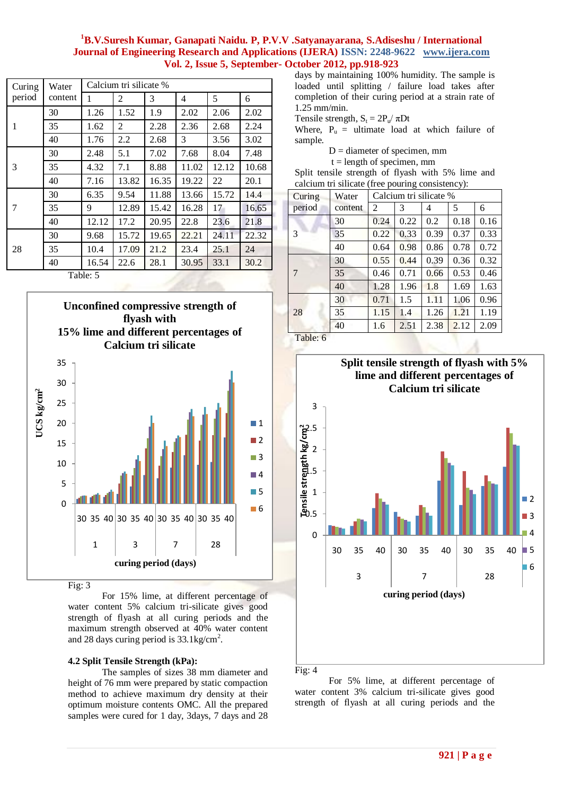| Curing | Water   | Calcium tri silicate % |       |       |       |       |       |  |  |
|--------|---------|------------------------|-------|-------|-------|-------|-------|--|--|
| period | content | 1                      | 2     | 3     | 4     | 5     | 6     |  |  |
|        | 30      | 1.26                   | 1.52  | 1.9   | 2.02  | 2.06  | 2.02  |  |  |
| 1      | 35      | 1.62                   | 2     | 2.28  | 2.36  | 2.68  | 2.24  |  |  |
|        | 40      | 1.76                   | 2.2   | 2.68  | 3     | 3.56  | 3.02  |  |  |
| 3      | 30      | 2.48                   | 5.1   | 7.02  | 7.68  | 8.04  | 7.48  |  |  |
|        | 35      | 4.32                   | 7.1   | 8.88  | 11.02 | 12.12 | 10.68 |  |  |
|        | 40      | 7.16                   | 13.82 | 16.35 | 19.22 | 22    | 20.1  |  |  |
|        | 30      | 6.35                   | 9.54  | 11.88 | 13.66 | 15.72 | 14.4  |  |  |
| 7      | 35      | 9                      | 12.89 | 15.42 | 16.28 | 17    | 16.65 |  |  |
|        | 40      | 12.12                  | 17.2  | 20.95 | 22.8  | 23.6  | 21.8  |  |  |
| 28     | 30      | 9.68                   | 15.72 | 19.65 | 22.21 | 24.11 | 22.32 |  |  |
|        | 35      | 10.4                   | 17.09 | 21.2  | 23.4  | 25.1  | 24    |  |  |
|        | 40      | 16.54                  | 22.6  | 28.1  | 30.95 | 33.1  | 30.2  |  |  |
|        | Table 5 |                        |       |       |       |       |       |  |  |

Table: 5



Fig: 3

For 15% lime, at different percentage of water content 5% calcium tri-silicate gives good strength of flyash at all curing periods and the maximum strength observed at 40% water content and 28 days curing period is 33.1kg/cm<sup>2</sup>.

# **4.2 Split Tensile Strength (kPa):**

The samples of sizes 38 mm diameter and height of 76 mm were prepared by static compaction method to achieve maximum dry density at their optimum moisture contents OMC. All the prepared samples were cured for 1 day, 3days, 7 days and 28

days by maintaining 100% humidity. The sample is loaded until splitting / failure load takes after completion of their curing period at a strain rate of 1.25 mm/min.

Tensile strength,  $S_t = 2P_u / \pi Dt$ 

Where,  $P_u$  = ultimate load at which failure of sample.

 $D =$  diameter of specimen, mm

 $t =$  length of specimen, mm

Split tensile strength of flyash with 5% lime and calcium tri silicate (free pouring consistency):

| Curing                   | Water   | Calcium tri silicate % |      |      |      |      |
|--------------------------|---------|------------------------|------|------|------|------|
| period                   | content | $\overline{c}$         | 3    | 4    | 5    | 6    |
|                          | 30      | 0.24                   | 0.22 | 0.2  | 0.18 | 0.16 |
| 3                        | 35      | 0.22                   | 0.33 | 0.39 | 0.37 | 0.33 |
|                          | 40      | 0.64                   | 0.98 | 0.86 | 0.78 | 0.72 |
|                          | 30      | 0.55                   | 0.44 | 0.39 | 0.36 | 0.32 |
| 7                        | 35      | 0.46                   | 0.71 | 0.66 | 0.53 | 0.46 |
|                          | 40      | 1.28                   | 1.96 | 1.8  | 1.69 | 1.63 |
|                          | 30      | 0.71                   | 1.5  | 1.11 | 1.06 | 0.96 |
| 28                       | 35      | 1.15                   | 1.4  | 1.26 | 1.21 | 1.19 |
|                          | 40      | 1.6                    | 2.51 | 2.38 | 2.12 | 2.09 |
| $T_0 h l_0$ , $\epsilon$ |         |                        |      |      |      |      |

Table: 6



For 5% lime, at different percentage of water content 3% calcium tri-silicate gives good strength of flyash at all curing periods and the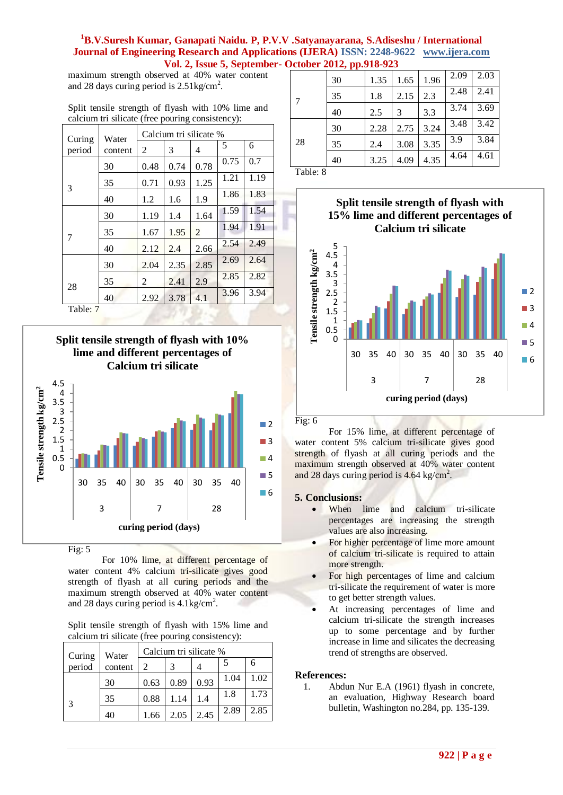maximum strength observed at 40% water content and 28 days curing period is  $2.51 \text{kg/cm}^2$ .

Split tensile strength of flyash with 10% lime and calcium tri silicate (free pouring consistency):

| Curing                      | Water   | Calcium tri silicate % |      |      |      |      |  |
|-----------------------------|---------|------------------------|------|------|------|------|--|
| period                      | content | $\overline{c}$         | 3    | 4    | 5    | 6    |  |
|                             | 30      | 0.48                   | 0.74 | 0.78 | 0.75 | 0.7  |  |
| 3                           | 35      | 0.71                   | 0.93 | 1.25 | 1.21 | 1.19 |  |
|                             | 40      | 1.2                    | 1.6  | 1.9  | 1.86 | 1.83 |  |
|                             | 30      | 1.19                   | 1.4  | 1.64 | 1.59 | 1.54 |  |
| 7                           | 35      | 1.67                   | 1.95 | 2    | 1.94 | 1.91 |  |
|                             | 40      | 2.12                   | 2.4  | 2.66 | 2.54 | 2.49 |  |
|                             | 30      | 2.04                   | 2.35 | 2.85 | 2.69 | 2.64 |  |
|                             | 35      | 2                      | 2.41 | 2.9  | 2.85 | 2.82 |  |
| 28                          | 40      | 2.92                   | 3.78 | 4.1  | 3.96 | 3.94 |  |
| $\overline{ }$<br>$T = 1.1$ |         |                        |      |      |      |      |  |

Table: 7





Fig: 5

For 10% lime, at different percentage of water content 4% calcium tri-silicate gives good strength of flyash at all curing periods and the maximum strength observed at 40% water content and 28 days curing period is  $4.1 \text{kg/cm}^2$ .

Split tensile strength of flyash with 15% lime and calcium tri silicate (free pouring consistency):

| Curing | Water   | Calcium tri silicate % |      |      |      |      |  |
|--------|---------|------------------------|------|------|------|------|--|
| period | content |                        |      |      |      | 6    |  |
|        | 30      | 0.63                   | 0.89 | 0.93 | 1.04 | 1.02 |  |
| 3      | 35      | 0.88                   | 1.14 | 1.4  | 1.8  | 1.73 |  |
|        | 40      | 1.66                   | 2.05 | 2.45 | 2.89 | 2.85 |  |

|                 | 30 | 1.35 | 1.65 | 1.96 | 2.09 | 2.03 |
|-----------------|----|------|------|------|------|------|
| $7\phantom{.0}$ | 35 | 1.8  | 2.15 | 2.3  | 2.48 | 2.41 |
|                 | 40 | 2.5  | 3    | 3.3  | 3.74 | 3.69 |
|                 | 30 | 2.28 | 2.75 | 3.24 | 3.48 | 3.42 |
| 28              | 35 | 2.4  | 3.08 | 3.35 | 3.9  | 3.84 |
|                 | 40 | 3.25 | 4.09 | 4.35 | 4.64 | 4.61 |
| ---<br>$\sim$   |    |      |      |      |      |      |

Table: 8



Fig: 6

For 15% lime, at different percentage of water content 5% calcium tri-silicate gives good strength of flyash at all curing periods and the maximum strength observed at 40% water content and 28 days curing period is 4.64 kg/cm<sup>2</sup>.

# **5. Conclusions:**

- When lime and calcium tri-silicate percentages are increasing the strength values are also increasing.
- For higher percentage of lime more amount of calcium tri-silicate is required to attain more strength.
- For high percentages of lime and calcium tri-silicate the requirement of water is more to get better strength values.
- At increasing percentages of lime and calcium tri-silicate the strength increases up to some percentage and by further increase in lime and silicates the decreasing trend of strengths are observed.

# **References:**

1. Abdun Nur E.A (1961) flyash in concrete, an evaluation, Highway Research board bulletin, Washington no.284, pp. 135-139.